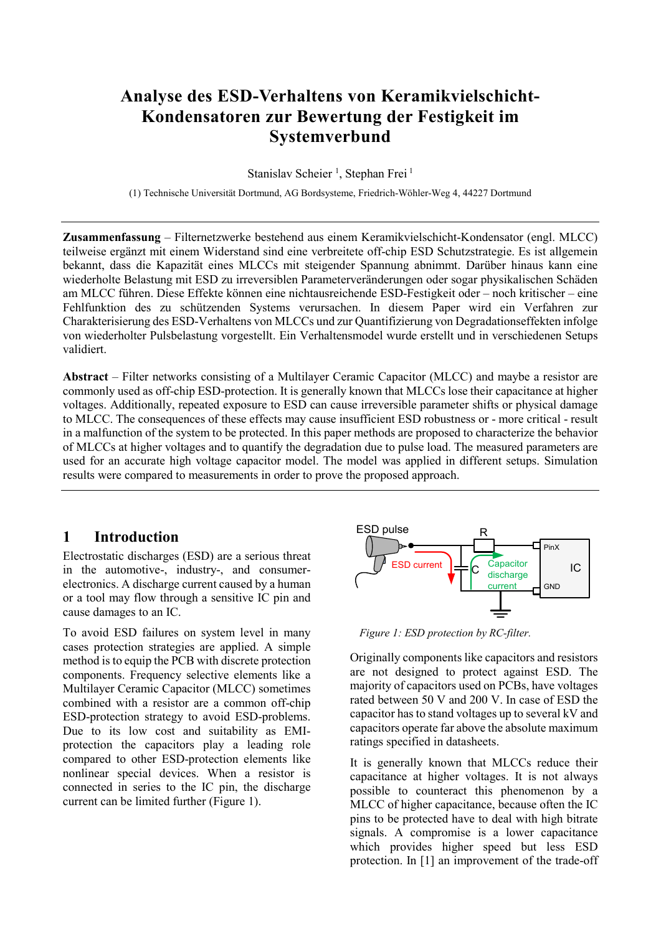# **Analyse des ESD-Verhaltens von Keramikvielschicht-Kondensatoren zur Bewertung der Festigkeit im Systemverbund**

Stanislav Scheier<sup>1</sup>, Stephan Frei<sup>1</sup>

(1) Technische Universität Dortmund, AG Bordsysteme, Friedrich-Wöhler-Weg 4, 44227 Dortmund

**Zusammenfassung** – Filternetzwerke bestehend aus einem Keramikvielschicht-Kondensator (engl. MLCC) teilweise ergänzt mit einem Widerstand sind eine verbreitete off-chip ESD Schutzstrategie. Es ist allgemein bekannt, dass die Kapazität eines MLCCs mit steigender Spannung abnimmt. Darüber hinaus kann eine wiederholte Belastung mit ESD zu irreversiblen Parameterveränderungen oder sogar physikalischen Schäden am MLCC führen. Diese Effekte können eine nichtausreichende ESD-Festigkeit oder – noch kritischer – eine Fehlfunktion des zu schützenden Systems verursachen. In diesem Paper wird ein Verfahren zur Charakterisierung des ESD-Verhaltens von MLCCs und zur Quantifizierung von Degradationseffekten infolge von wiederholter Pulsbelastung vorgestellt. Ein Verhaltensmodel wurde erstellt und in verschiedenen Setups validiert.

**Abstract** – Filter networks consisting of a Multilayer Ceramic Capacitor (MLCC) and maybe a resistor are commonly used as off-chip ESD-protection. It is generally known that MLCCs lose their capacitance at higher voltages. Additionally, repeated exposure to ESD can cause irreversible parameter shifts or physical damage to MLCC. The consequences of these effects may cause insufficient ESD robustness or - more critical - result in a malfunction of the system to be protected. In this paper methods are proposed to characterize the behavior of MLCCs at higher voltages and to quantify the degradation due to pulse load. The measured parameters are used for an accurate high voltage capacitor model. The model was applied in different setups. Simulation results were compared to measurements in order to prove the proposed approach.

## **1 Introduction**

Electrostatic discharges (ESD) are a serious threat in the automotive-, industry-, and consumerelectronics. A discharge current caused by a human or a tool may flow through a sensitive IC pin and cause damages to an IC.

To avoid ESD failures on system level in many cases protection strategies are applied. A simple method is to equip the PCB with discrete protection components. Frequency selective elements like a Multilayer Ceramic Capacitor (MLCC) sometimes combined with a resistor are a common off-chip ESD-protection strategy to avoid ESD-problems. Due to its low cost and suitability as EMIprotection the capacitors play a leading role compared to other ESD-protection elements like nonlinear special devices. When a resistor is connected in series to the IC pin, the discharge current can be limited further [\(Figure 1\)](#page-0-0).



<span id="page-0-0"></span>*Figure 1: ESD protection by RC-filter.*

Originally components like capacitors and resistors are not designed to protect against ESD. The majority of capacitors used on PCBs, have voltages rated between 50 V and 200 V. In case of ESD the capacitor has to stand voltages up to several kV and capacitors operate far above the absolute maximum ratings specified in datasheets.

It is generally known that MLCCs reduce their capacitance at higher voltages. It is not always possible to counteract this phenomenon by a MLCC of higher capacitance, because often the IC pins to be protected have to deal with high bitrate signals. A compromise is a lower capacitance which provides higher speed but less ESD protection. In [\[1\]](#page-6-0) an improvement of the trade-off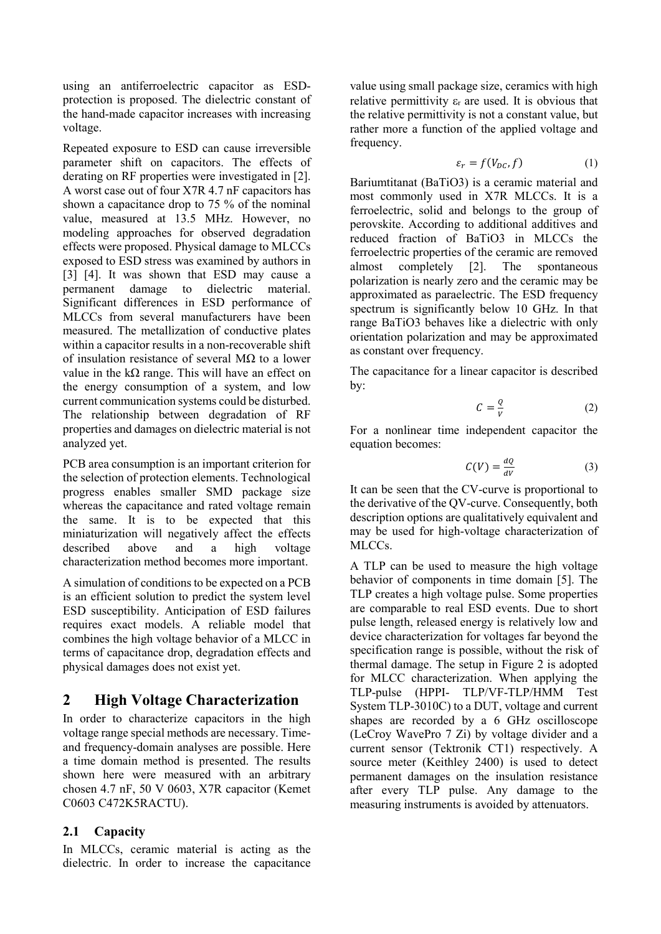using an antiferroelectric capacitor as ESDprotection is proposed. The dielectric constant of the hand-made capacitor increases with increasing voltage.

Repeated exposure to ESD can cause irreversible parameter shift on capacitors. The effects of derating on RF properties were investigated in [\[2\].](#page-6-1) A worst case out of four X7R 4.7 nF capacitors has shown a capacitance drop to 75 % of the nominal value, measured at 13.5 MHz. However, no modeling approaches for observed degradation effects were proposed. Physical damage to MLCCs exposed to ESD stress was examined by authors in [\[3\]](#page-6-2) [\[4\].](#page-6-3) It was shown that ESD may cause a permanent damage to dielectric material. Significant differences in ESD performance of MLCCs from several manufacturers have been measured. The metallization of conductive plates within a capacitor results in a non-recoverable shift of insulation resistance of several M $\Omega$  to a lower value in the kΩ range. This will have an effect on the energy consumption of a system, and low current communication systems could be disturbed. The relationship between degradation of RF properties and damages on dielectric material is not analyzed yet.

PCB area consumption is an important criterion for the selection of protection elements. Technological progress enables smaller SMD package size whereas the capacitance and rated voltage remain the same. It is to be expected that this miniaturization will negatively affect the effects described above and a high voltage characterization method becomes more important.

A simulation of conditions to be expected on a PCB is an efficient solution to predict the system level ESD susceptibility. Anticipation of ESD failures requires exact models. A reliable model that combines the high voltage behavior of a MLCC in terms of capacitance drop, degradation effects and physical damages does not exist yet.

## **2 High Voltage Characterization**

In order to characterize capacitors in the high voltage range special methods are necessary. Timeand frequency-domain analyses are possible. Here a time domain method is presented. The results shown here were measured with an arbitrary chosen 4.7 nF, 50 V 0603, X7R capacitor (Kemet C0603 C472K5RACTU).

## **2.1 Capacity**

In MLCCs, ceramic material is acting as the dielectric. In order to increase the capacitance

value using small package size, ceramics with high relative permittivity  $\varepsilon_r$  are used. It is obvious that the relative permittivity is not a constant value, but rather more a function of the applied voltage and frequency.

$$
\varepsilon_r = f(V_{DC}, f) \tag{1}
$$

Bariumtitanat (BaTiO3) is a ceramic material and most commonly used in X7R MLCCs. It is a ferroelectric, solid and belongs to the group of perovskite. According to additional additives and reduced fraction of BaTiO3 in MLCCs the ferroelectric properties of the ceramic are removed almost completely [\[2\].](#page-6-1) The spontaneous polarization is nearly zero and the ceramic may be approximated as paraelectric. The ESD frequency spectrum is significantly below 10 GHz. In that range BaTiO3 behaves like a dielectric with only orientation polarization and may be approximated as constant over frequency.

The capacitance for a linear capacitor is described by:

$$
C = \frac{Q}{V} \tag{2}
$$

For a nonlinear time independent capacitor the equation becomes:

$$
C(V) = \frac{dQ}{dV} \tag{3}
$$

It can be seen that the CV-curve is proportional to the derivative of the QV-curve. Consequently, both description options are qualitatively equivalent and may be used for high-voltage characterization of MLCCs.

A TLP can be used to measure the high voltage behavior of components in time domain [\[5\].](#page-6-4) The TLP creates a high voltage pulse. Some properties are comparable to real ESD events. Due to short pulse length, released energy is relatively low and device characterization for voltages far beyond the specification range is possible, without the risk of thermal damage. The setup in [Figure 2](#page-2-0) is adopted for MLCC characterization. When applying the TLP-pulse (HPPI- TLP/VF-TLP/HMM Test System TLP-3010C) to a DUT, voltage and current shapes are recorded by a 6 GHz oscilloscope (LeCroy WavePro 7 Zi) by voltage divider and a current sensor (Tektronik CT1) respectively. A source meter (Keithley 2400) is used to detect permanent damages on the insulation resistance after every TLP pulse. Any damage to the measuring instruments is avoided by attenuators.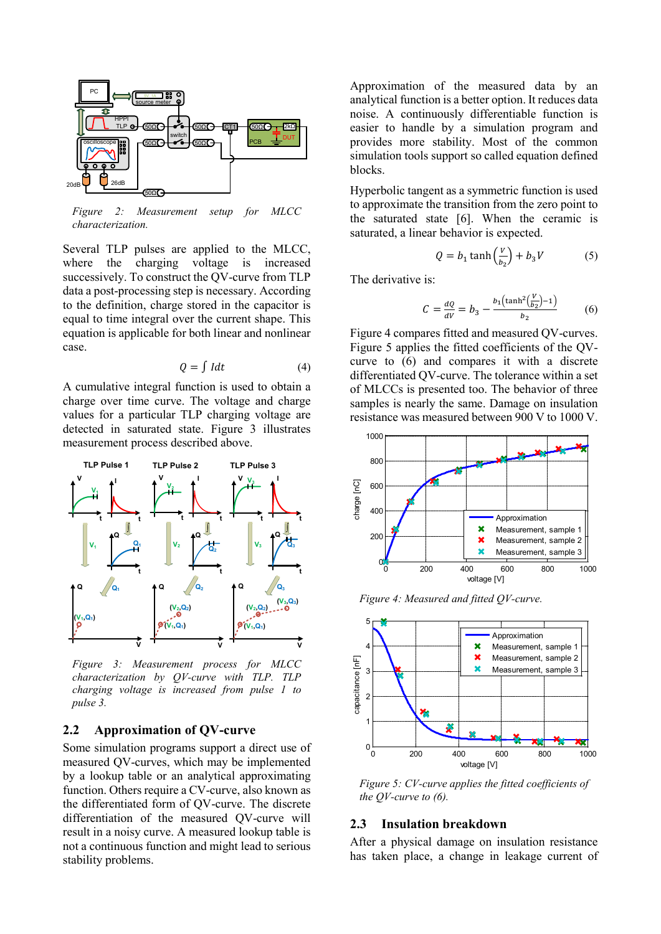

<span id="page-2-0"></span>*Figure 2: Measurement setup for MLCC characterization.*

Several TLP pulses are applied to the MLCC, where the charging voltage is increased successively. To construct the QV-curve from TLP data a post-processing step is necessary. According to the definition, charge stored in the capacitor is equal to time integral over the current shape. This equation is applicable for both linear and nonlinear case.

$$
Q = \int I dt
$$
 (4)

A cumulative integral function is used to obtain a charge over time curve. The voltage and charge values for a particular TLP charging voltage are detected in saturated state. [Figure 3](#page-2-1) illustrates measurement process described above.



<span id="page-2-1"></span>*Figure 3: Measurement process for MLCC characterization by QV-curve with TLP. TLP charging voltage is increased from pulse 1 to pulse 3.*

#### **2.2 Approximation of QV-curve**

Some simulation programs support a direct use of measured QV-curves, which may be implemented by a lookup table or an analytical approximating function. Others require a CV-curve, also known as the differentiated form of QV-curve. The discrete differentiation of the measured QV-curve will result in a noisy curve. A measured lookup table is not a continuous function and might lead to serious stability problems.

Approximation of the measured data by an analytical function is a better option. It reduces data noise. A continuously differentiable function is easier to handle by a simulation program and provides more stability. Most of the common simulation tools support so called equation defined blocks.

Hyperbolic tangent as a symmetric function is used to approximate the transition from the zero point to the saturated state [\[6\].](#page-6-5) When the ceramic is saturated, a linear behavior is expected.

$$
Q = b_1 \tanh\left(\frac{v}{b_2}\right) + b_3 V \tag{5}
$$

The derivative is:

$$
C = \frac{dQ}{dV} = b_3 - \frac{b_1 \left(\tanh^2(\frac{V}{b_2}) - 1\right)}{b_2} \tag{6}
$$

[Figure 4](#page-2-2) compares fitted and measured QV-curves. [Figure 5](#page-2-3) applies the fitted coefficients of the QVcurve to (6) and compares it with a discrete differentiated QV-curve. The tolerance within a set of MLCCs is presented too. The behavior of three samples is nearly the same. Damage on insulation resistance was measured between 900 V to 1000 V.



<span id="page-2-2"></span>*Figure 4: Measured and fitted QV-curve.*



<span id="page-2-3"></span>*Figure 5: CV-curve applies the fitted coefficients of the QV-curve to (6).*

#### **2.3 Insulation breakdown**

After a physical damage on insulation resistance has taken place, a change in leakage current of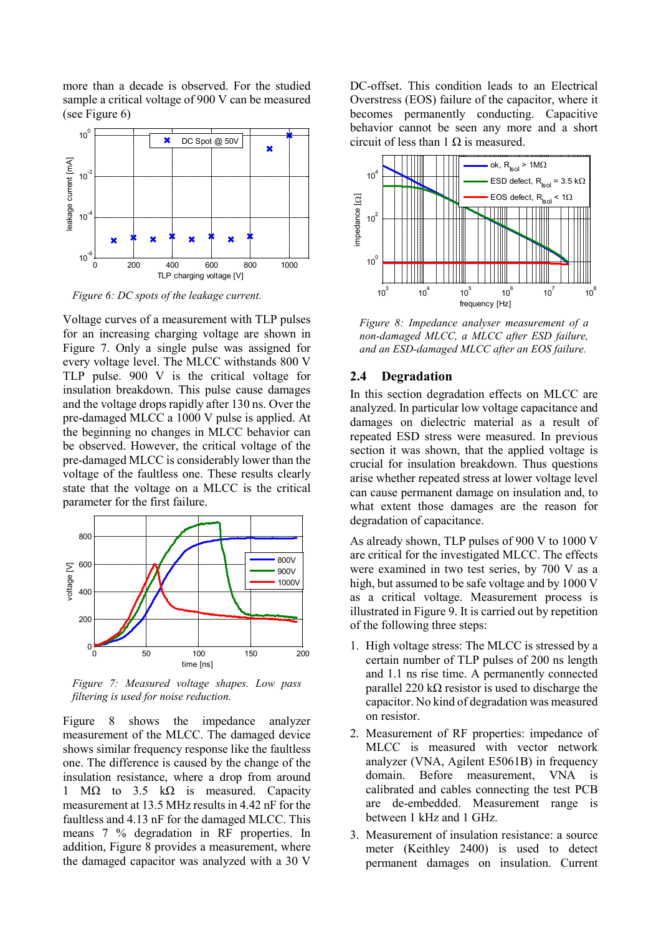more than a decade is observed. For the studied sample a critical voltage of 900 V can be measured (see [Figure 6\)](#page-3-0)



<span id="page-3-0"></span>*Figure 6: DC spots of the leakage current.*

Voltage curves of a measurement with TLP pulses for an increasing charging voltage are shown in [Figure 7.](#page-3-1) Only a single pulse was assigned for every voltage level. The MLCC withstands 800 V TLP pulse. 900 V is the critical voltage for insulation breakdown. This pulse cause damages and the voltage drops rapidly after 130 ns. Over the pre-damaged MLCC a 1000 V pulse is applied. At the beginning no changes in MLCC behavior can be observed. However, the critical voltage of the pre-damaged MLCC is considerably lower than the voltage of the faultless one. These results clearly state that the voltage on a MLCC is the critical parameter for the first failure.



<span id="page-3-1"></span>*Figure 7: Measured voltage shapes. Low pass filtering is used for noise reduction.*

[Figure 8](#page-3-2) shows the impedance analyzer measurement of the MLCC. The damaged device shows similar frequency response like the faultless one. The difference is caused by the change of the insulation resistance, where a drop from around 1 MΩ to 3.5 kΩ is measured. Capacity measurement at 13.5 MHz results in 4.42 nF for the faultless and 4.13 nF for the damaged MLCC. This means 7 % degradation in RF properties. In addition, [Figure 8](#page-3-2) provides a measurement, where the damaged capacitor was analyzed with a 30 V

DC-offset. This condition leads to an Electrical Overstress (EOS) failure of the capacitor, where it becomes permanently conducting. Capacitive behavior cannot be seen any more and a short circuit of less than  $1 \Omega$  is measured.



<span id="page-3-2"></span>*Figure 8: Impedance analyser measurement of a non-damaged MLCC, a MLCC after ESD failure, and an ESD-damaged MLCC after an EOS failure.*

#### <span id="page-3-3"></span>**2.4 Degradation**

In this section degradation effects on MLCC are analyzed. In particular low voltage capacitance and damages on dielectric material as a result of repeated ESD stress were measured. In previous section it was shown, that the applied voltage is crucial for insulation breakdown. Thus questions arise whether repeated stress at lower voltage level can cause permanent damage on insulation and, to what extent those damages are the reason for degradation of capacitance.

As already shown, TLP pulses of 900 V to 1000 V are critical for the investigated MLCC. The effects were examined in two test series, by 700 V as a high, but assumed to be safe voltage and by 1000 V as a critical voltage. Measurement process is illustrated in [Figure 9.](#page-4-0) It is carried out by repetition of the following three steps:

- 1. High voltage stress: The MLCC is stressed by a certain number of TLP pulses of 200 ns length and 1.1 ns rise time. A permanently connected parallel 220 kΩ resistor is used to discharge the capacitor. No kind of degradation was measured on resistor.
- 2. Measurement of RF properties: impedance of MLCC is measured with vector network analyzer (VNA, Agilent E5061B) in frequency domain. Before measurement, VNA is calibrated and cables connecting the test PCB are de-embedded. Measurement range is between 1 kHz and 1 GHz.
- 3. Measurement of insulation resistance: a source meter (Keithley 2400) is used to detect permanent damages on insulation. Current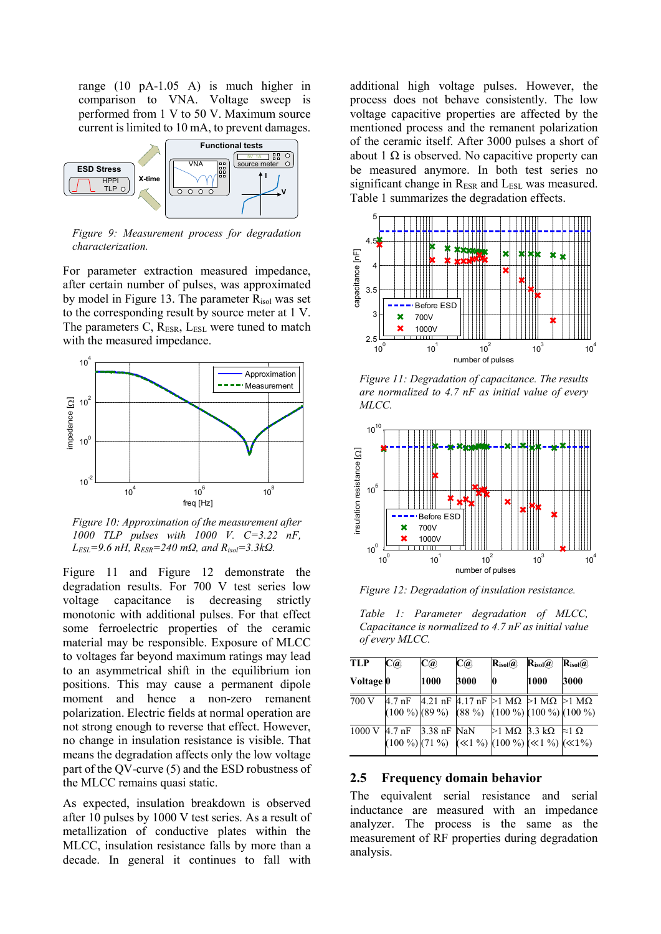range (10 pA-1.05 A) is much higher in comparison to VNA. Voltage sweep is performed from 1 V to 50 V. Maximum source current is limited to 10 mA, to prevent damages.



<span id="page-4-0"></span>*Figure 9: Measurement process for degradation characterization.*

For parameter extraction measured impedance, after certain number of pulses, was approximated by model in [Figure 13.](#page-5-0) The parameter  $R_{\text{isol}}$  was set to the corresponding result by source meter at 1 V. The parameters C, R<sub>ESR</sub>, L<sub>ESL</sub> were tuned to match with the measured impedance.



*Figure 10: Approximation of the measurement after 1000 TLP pulses with 1000 V. C=3.22 nF, LESL=9.6 nH, RESR=240 mΩ, and Risol=3.3kΩ.*

[Figure 11](#page-4-1) and [Figure 12](#page-4-2) demonstrate the degradation results. For 700 V test series low voltage capacitance is decreasing strictly monotonic with additional pulses. For that effect some ferroelectric properties of the ceramic material may be responsible. Exposure of MLCC to voltages far beyond maximum ratings may lead to an asymmetrical shift in the equilibrium ion positions. This may cause a permanent dipole moment and hence a non-zero remanent polarization. Electric fields at normal operation are not strong enough to reverse that effect. However, no change in insulation resistance is visible. That means the degradation affects only the low voltage part of the QV-curve (5) and the ESD robustness of the MLCC remains quasi static.

As expected, insulation breakdown is observed after 10 pulses by 1000 V test series. As a result of metallization of conductive plates within the MLCC, insulation resistance falls by more than a decade. In general it continues to fall with

additional high voltage pulses. However, the process does not behave consistently. The low voltage capacitive properties are affected by the mentioned process and the remanent polarization of the ceramic itself. After 3000 pulses a short of about  $1 \Omega$  is observed. No capacitive property can be measured anymore. In both test series no significant change in  $R_{ESR}$  and  $L_{ESL}$  was measured. [Table 1](#page-4-3) summarizes the degradation effects.



<span id="page-4-1"></span>*Figure 11: Degradation of capacitance. The results are normalized to 4.7 nF as initial value of every MLCC.*



<span id="page-4-2"></span>*Figure 12: Degradation of insulation resistance.*

<span id="page-4-3"></span>*Table 1: Parameter degradation of MLCC, Capacitance is normalized to 4.7 nF as initial value of every MLCC.*

| <b>TLP</b> | C(a)                      | C(a) | C(a) | $\mathbf{R}_{\text{isol}}(a)$                                                                     | $\mathbf{R}_{\text{isol}}(\widehat{\boldsymbol{a}})$ | $\mathbf{R}_{\text{isol}}(a)$ |
|------------|---------------------------|------|------|---------------------------------------------------------------------------------------------------|------------------------------------------------------|-------------------------------|
| Voltage 0  |                           | 1000 | 3000 | 10                                                                                                | 1000                                                 | 3000                          |
| 700 V      |                           |      |      | 4.7 nF 4.21 nF 4.17 nF $>1$ MQ $>1$ MQ $>1$ MQ<br>$(100\%)$ (89 %) (88 %) (100 %) (100 %) (100 %) |                                                      |                               |
|            | 1000 V 4.7 nF 3.38 nF NaN |      |      | $>1$ MQ 3.3 kQ $\approx$ 1 Q<br>$(100\%)$ (71 %) $(\ll 1\%)$ (100 %) ( $(\ll 1\%)$ ( $(\ll 1\%)$  |                                                      |                               |

#### **2.5 Frequency domain behavior**

The equivalent serial resistance and serial inductance are measured with an impedance analyzer. The process is the same as the measurement of RF properties during degradation analysis.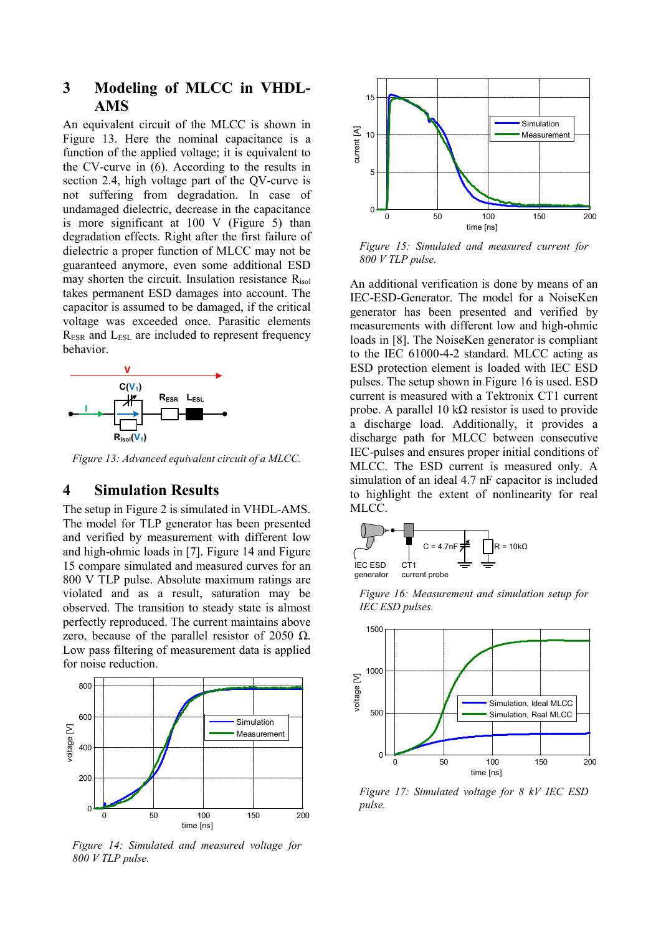## **3 Modeling of MLCC in VHDL-AMS**

An equivalent circuit of the MLCC is shown in [Figure 13.](#page-5-0) Here the nominal capacitance is a function of the applied voltage; it is equivalent to the CV-curve in (6). According to the results in section [2.4,](#page-3-3) high voltage part of the QV-curve is not suffering from degradation. In case of undamaged dielectric, decrease in the capacitance is more significant at 100 V [\(Figure 5\)](#page-2-3) than degradation effects. Right after the first failure of dielectric a proper function of MLCC may not be guaranteed anymore, even some additional ESD may shorten the circuit. Insulation resistance Risol takes permanent ESD damages into account. The capacitor is assumed to be damaged, if the critical voltage was exceeded once. Parasitic elements R<sub>ESR</sub> and L<sub>ESL</sub> are included to represent frequency behavior.



<span id="page-5-0"></span>*Figure 13: Advanced equivalent circuit of a MLCC.*

#### **4 Simulation Results**

The setup in [Figure 2](#page-2-0) is simulated in VHDL-AMS. The model for TLP generator has been presented and verified by measurement with different low and high-ohmic loads in [\[7\].](#page-6-6) [Figure 14](#page-5-1) and [Figure](#page-5-2)  [15](#page-5-2) compare simulated and measured curves for an 800 V TLP pulse. Absolute maximum ratings are violated and as a result, saturation may be observed. The transition to steady state is almost perfectly reproduced. The current maintains above zero, because of the parallel resistor of 2050  $\Omega$ . Low pass filtering of measurement data is applied for noise reduction.



<span id="page-5-1"></span>*Figure 14: Simulated and measured voltage for 800 V TLP pulse.*



<span id="page-5-2"></span>*Figure 15: Simulated and measured current for 800 V TLP pulse.*

An additional verification is done by means of an IEC-ESD-Generator. The model for a NoiseKen generator has been presented and verified by measurements with different low and high-ohmic loads in [\[8\].](#page-6-7) The NoiseKen generator is compliant to the IEC 61000-4-2 standard. MLCC acting as ESD protection element is loaded with IEC ESD pulses. The setup shown in [Figure 16](#page-5-3) is used. ESD current is measured with a Tektronix CT1 current probe. A parallel 10 kΩ resistor is used to provide a discharge load. Additionally, it provides a discharge path for MLCC between consecutive IEC-pulses and ensures proper initial conditions of MLCC. The ESD current is measured only. A simulation of an ideal 4.7 nF capacitor is included to highlight the extent of nonlinearity for real MLCC.



<span id="page-5-3"></span>*Figure 16: Measurement and simulation setup for IEC ESD pulses.*



*Figure 17: Simulated voltage for 8 kV IEC ESD pulse.*